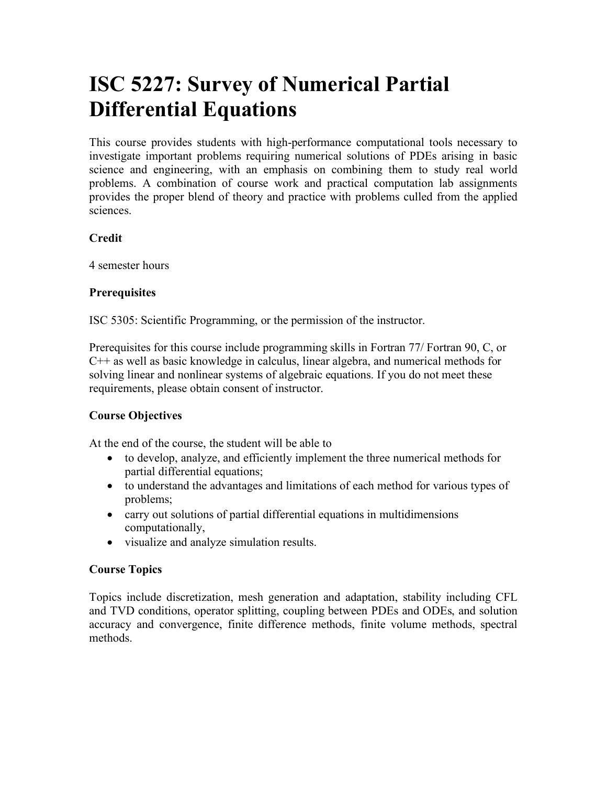# **ISC 5227: Survey of Numerical Partial Differential Equations**

This course provides students with high-performance computational tools necessary to investigate important problems requiring numerical solutions of PDEs arising in basic science and engineering, with an emphasis on combining them to study real world problems. A combination of course work and practical computation lab assignments provides the proper blend of theory and practice with problems culled from the applied sciences.

# **Credit**

4 semester hours

# **Prerequisites**

ISC 5305: Scientific Programming, or the permission of the instructor.

Prerequisites for this course include programming skills in Fortran 77/ Fortran 90, C, or C++ as well as basic knowledge in calculus, linear algebra, and numerical methods for solving linear and nonlinear systems of algebraic equations. If you do not meet these requirements, please obtain consent of instructor.

# **Course Objectives**

At the end of the course, the student will be able to

- to develop, analyze, and efficiently implement the three numerical methods for partial differential equations;
- to understand the advantages and limitations of each method for various types of problems;
- carry out solutions of partial differential equations in multidimensions computationally,
- visualize and analyze simulation results.

# **Course Topics**

Topics include discretization, mesh generation and adaptation, stability including CFL and TVD conditions, operator splitting, coupling between PDEs and ODEs, and solution accuracy and convergence, finite difference methods, finite volume methods, spectral methods.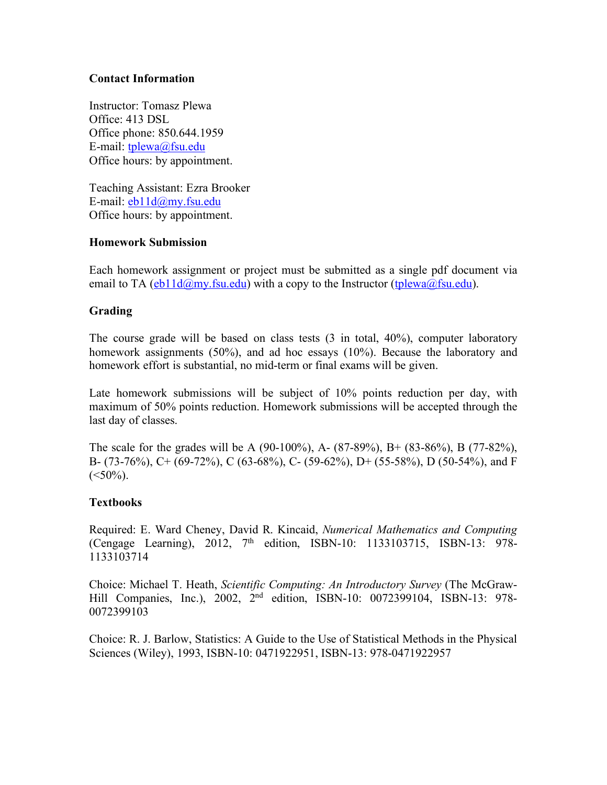## **Contact Information**

Instructor: Tomasz Plewa Office: 413 DSL Office phone: 850.644.1959 E-mail: [tplewa@fsu.edu](mailto:tplewa@fsu.edu) Office hours: by appointment.

Teaching Assistant: Ezra Brooker E-mail: [eb11d@my.fsu.edu](mailto:eb11d@my.fsu.edu) Office hours: by appointment.

## **Homework Submission**

Each homework assignment or project must be submitted as a single pdf document via email to TA ( $eb11d@my.fsu.edu$ ) with a copy to the Instructor [\(tplewa@fsu.edu](mailto:tplewa@fsu.edu)).

# **Grading**

The course grade will be based on class tests (3 in total, 40%), computer laboratory homework assignments (50%), and ad hoc essays (10%). Because the laboratory and homework effort is substantial, no mid-term or final exams will be given.

Late homework submissions will be subject of 10% points reduction per day, with maximum of 50% points reduction. Homework submissions will be accepted through the last day of classes.

The scale for the grades will be A (90-100%), A- (87-89%), B+ (83-86%), B (77-82%), B- (73-76%), C+ (69-72%), C (63-68%), C- (59-62%), D+ (55-58%), D (50-54%), and F  $(<50\%)$ .

# **Textbooks**

Required: E. Ward Cheney, David R. Kincaid, *Numerical Mathematics and Computing* (Cengage Learning), 2012,  $7<sup>th</sup>$  edition, ISBN-10: 1133103715, ISBN-13: 978-1133103714

Choice: Michael T. Heath, *Scientific Computing: An Introductory Survey* (The McGraw-Hill Companies, Inc.), 2002, 2<sup>nd</sup> edition, ISBN-10: 0072399104, ISBN-13: 978-0072399103

Choice: R. J. Barlow, Statistics: A Guide to the Use of Statistical Methods in the Physical Sciences (Wiley), 1993, ISBN-10: 0471922951, ISBN-13: 978-0471922957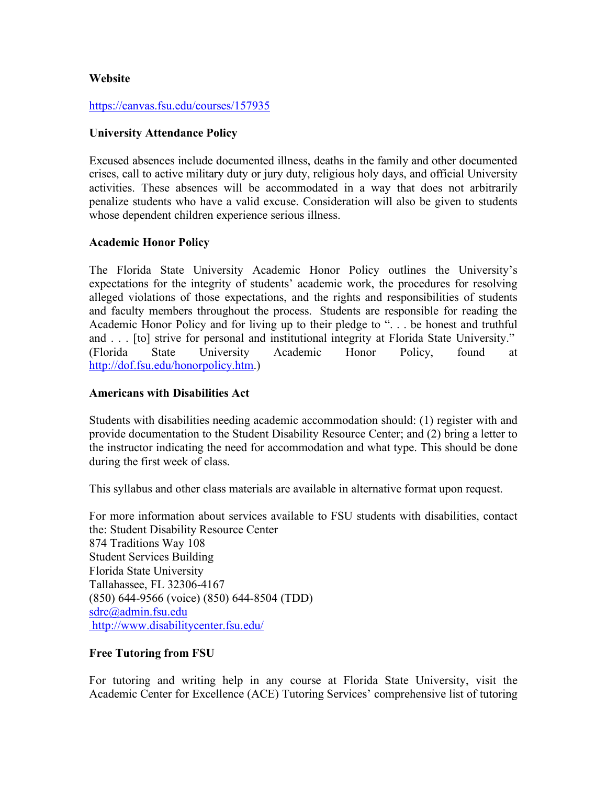## **Website**

#### <https://canvas.fsu.edu/courses/157935>

#### **University Attendance Policy**

Excused absences include documented illness, deaths in the family and other documented crises, call to active military duty or jury duty, religious holy days, and official University activities. These absences will be accommodated in a way that does not arbitrarily penalize students who have a valid excuse. Consideration will also be given to students whose dependent children experience serious illness.

#### **Academic Honor Policy**

The Florida State University Academic Honor Policy outlines the University's expectations for the integrity of students' academic work, the procedures for resolving alleged violations of those expectations, and the rights and responsibilities of students and faculty members throughout the process. Students are responsible for reading the Academic Honor Policy and for living up to their pledge to ". . . be honest and truthful and . . . [to] strive for personal and institutional integrity at Florida State University." (Florida State University Academic Honor Policy, found at <http://dof.fsu.edu/honorpolicy.htm>.)

#### **Americans with Disabilities Act**

Students with disabilities needing academic accommodation should: (1) register with and provide documentation to the Student Disability Resource Center; and (2) bring a letter to the instructor indicating the need for accommodation and what type. This should be done during the first week of class.

This syllabus and other class materials are available in alternative format upon request.

For more information about services available to FSU students with disabilities, contact the: Student Disability Resource Center 874 Traditions Way 108 Student Services Building Florida State University Tallahassee, FL 32306-4167 (850) 644-9566 (voice) (850) 644-8504 (TDD) [sdrc@admin.fsu.edu](mailto:sdrc@admin.fsu.edu) <http://www.disabilitycenter.fsu.edu/>

#### **Free Tutoring from FSU**

For tutoring and writing help in any course at Florida State University, visit the Academic Center for Excellence (ACE) Tutoring Services' comprehensive list of tutoring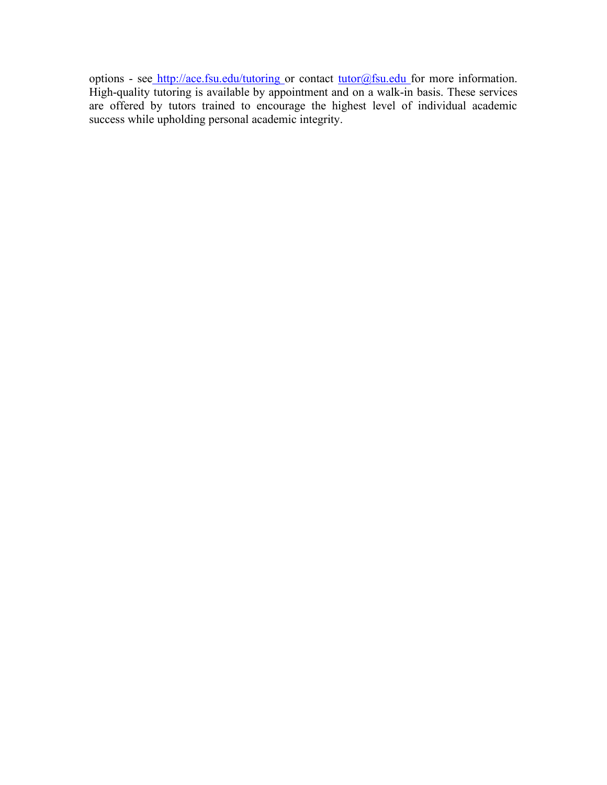options - see <http://ace.fsu.edu/tutoring>or contact [tutor@fsu.edu](mailto:tutor@fsu.edu) for more information. High-quality tutoring is available by appointment and on a walk-in basis. These services are offered by tutors trained to encourage the highest level of individual academic success while upholding personal academic integrity.